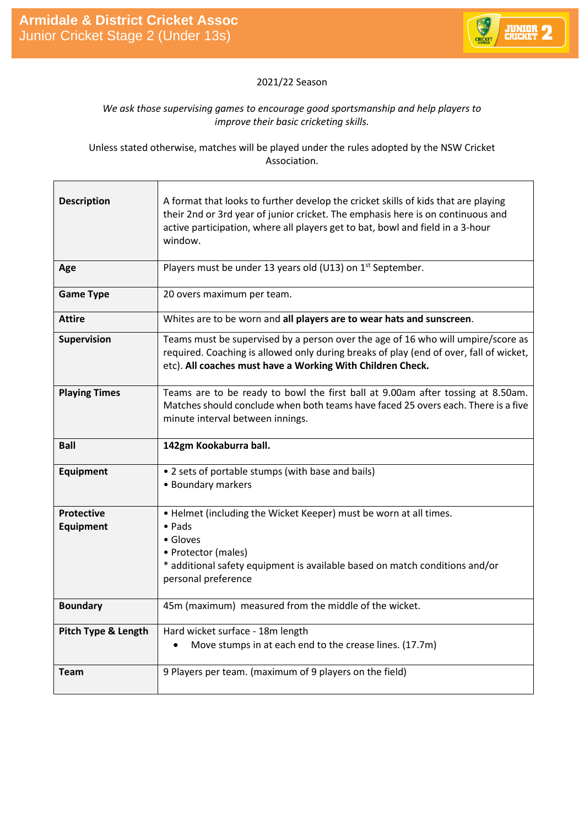

## 2021/22 Season

## *We ask those supervising games to encourage good sportsmanship and help players to improve their basic cricketing skills.*

Unless stated otherwise, matches will be played under the rules adopted by the NSW Cricket Association.

| <b>Description</b>                    | A format that looks to further develop the cricket skills of kids that are playing<br>their 2nd or 3rd year of junior cricket. The emphasis here is on continuous and<br>active participation, where all players get to bat, bowl and field in a 3-hour<br>window. |
|---------------------------------------|--------------------------------------------------------------------------------------------------------------------------------------------------------------------------------------------------------------------------------------------------------------------|
| Age                                   | Players must be under 13 years old (U13) on 1 <sup>st</sup> September.                                                                                                                                                                                             |
| <b>Game Type</b>                      | 20 overs maximum per team.                                                                                                                                                                                                                                         |
| <b>Attire</b>                         | Whites are to be worn and all players are to wear hats and sunscreen.                                                                                                                                                                                              |
| <b>Supervision</b>                    | Teams must be supervised by a person over the age of 16 who will umpire/score as<br>required. Coaching is allowed only during breaks of play (end of over, fall of wicket,<br>etc). All coaches must have a Working With Children Check.                           |
| <b>Playing Times</b>                  | Teams are to be ready to bowl the first ball at 9.00am after tossing at 8.50am.<br>Matches should conclude when both teams have faced 25 overs each. There is a five<br>minute interval between innings.                                                           |
|                                       |                                                                                                                                                                                                                                                                    |
| <b>Ball</b>                           | 142gm Kookaburra ball.                                                                                                                                                                                                                                             |
| <b>Equipment</b>                      | • 2 sets of portable stumps (with base and bails)<br>• Boundary markers                                                                                                                                                                                            |
| <b>Protective</b><br><b>Equipment</b> | • Helmet (including the Wicket Keeper) must be worn at all times.<br>$\bullet$ Pads<br>• Gloves<br>• Protector (males)<br>* additional safety equipment is available based on match conditions and/or<br>personal preference                                       |
| <b>Boundary</b>                       | 45m (maximum) measured from the middle of the wicket.                                                                                                                                                                                                              |
| Pitch Type & Length                   | Hard wicket surface - 18m length<br>Move stumps in at each end to the crease lines. (17.7m)<br>$\bullet$                                                                                                                                                           |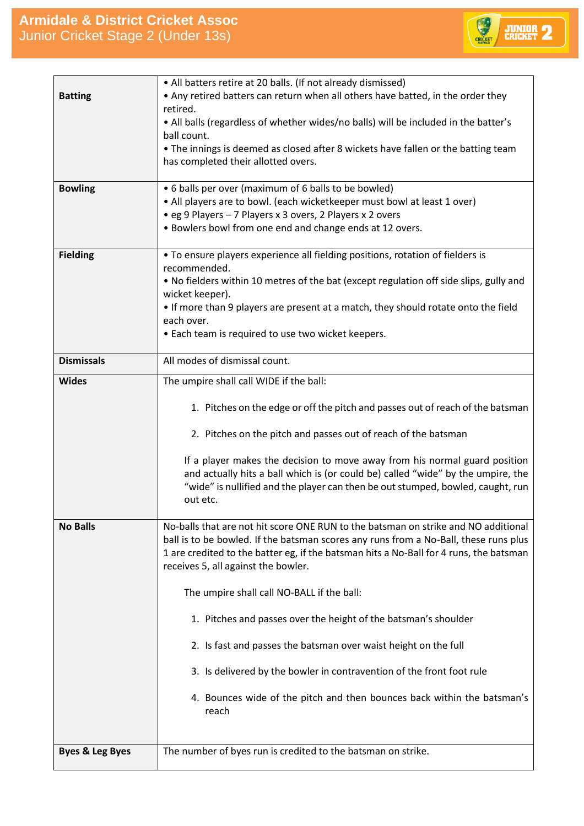

| <b>Batting</b>             | • All batters retire at 20 balls. (If not already dismissed)<br>• Any retired batters can return when all others have batted, in the order they<br>retired.<br>. All balls (regardless of whether wides/no balls) will be included in the batter's<br>ball count.                                                                                                                                                                                                                                                                                                                                                                                            |
|----------------------------|--------------------------------------------------------------------------------------------------------------------------------------------------------------------------------------------------------------------------------------------------------------------------------------------------------------------------------------------------------------------------------------------------------------------------------------------------------------------------------------------------------------------------------------------------------------------------------------------------------------------------------------------------------------|
|                            | • The innings is deemed as closed after 8 wickets have fallen or the batting team<br>has completed their allotted overs.                                                                                                                                                                                                                                                                                                                                                                                                                                                                                                                                     |
| <b>Bowling</b>             | • 6 balls per over (maximum of 6 balls to be bowled)<br>• All players are to bowl. (each wicketkeeper must bowl at least 1 over)<br>• eg 9 Players - 7 Players x 3 overs, 2 Players x 2 overs<br>• Bowlers bowl from one end and change ends at 12 overs.                                                                                                                                                                                                                                                                                                                                                                                                    |
| <b>Fielding</b>            | • To ensure players experience all fielding positions, rotation of fielders is<br>recommended.<br>. No fielders within 10 metres of the bat (except regulation off side slips, gully and<br>wicket keeper).<br>• If more than 9 players are present at a match, they should rotate onto the field<br>each over.<br>• Each team is required to use two wicket keepers.                                                                                                                                                                                                                                                                                        |
| <b>Dismissals</b>          | All modes of dismissal count.                                                                                                                                                                                                                                                                                                                                                                                                                                                                                                                                                                                                                                |
| <b>Wides</b>               | The umpire shall call WIDE if the ball:<br>1. Pitches on the edge or off the pitch and passes out of reach of the batsman<br>2. Pitches on the pitch and passes out of reach of the batsman<br>If a player makes the decision to move away from his normal guard position<br>and actually hits a ball which is (or could be) called "wide" by the umpire, the<br>"wide" is nullified and the player can then be out stumped, bowled, caught, run<br>out etc.                                                                                                                                                                                                 |
| <b>No Balls</b>            | No-balls that are not hit score ONE RUN to the batsman on strike and NO additional<br>ball is to be bowled. If the batsman scores any runs from a No-Ball, these runs plus<br>1 are credited to the batter eg, if the batsman hits a No-Ball for 4 runs, the batsman<br>receives 5, all against the bowler.<br>The umpire shall call NO-BALL if the ball:<br>1. Pitches and passes over the height of the batsman's shoulder<br>2. Is fast and passes the batsman over waist height on the full<br>3. Is delivered by the bowler in contravention of the front foot rule<br>4. Bounces wide of the pitch and then bounces back within the batsman's<br>reach |
| <b>Byes &amp; Leg Byes</b> | The number of byes run is credited to the batsman on strike.                                                                                                                                                                                                                                                                                                                                                                                                                                                                                                                                                                                                 |